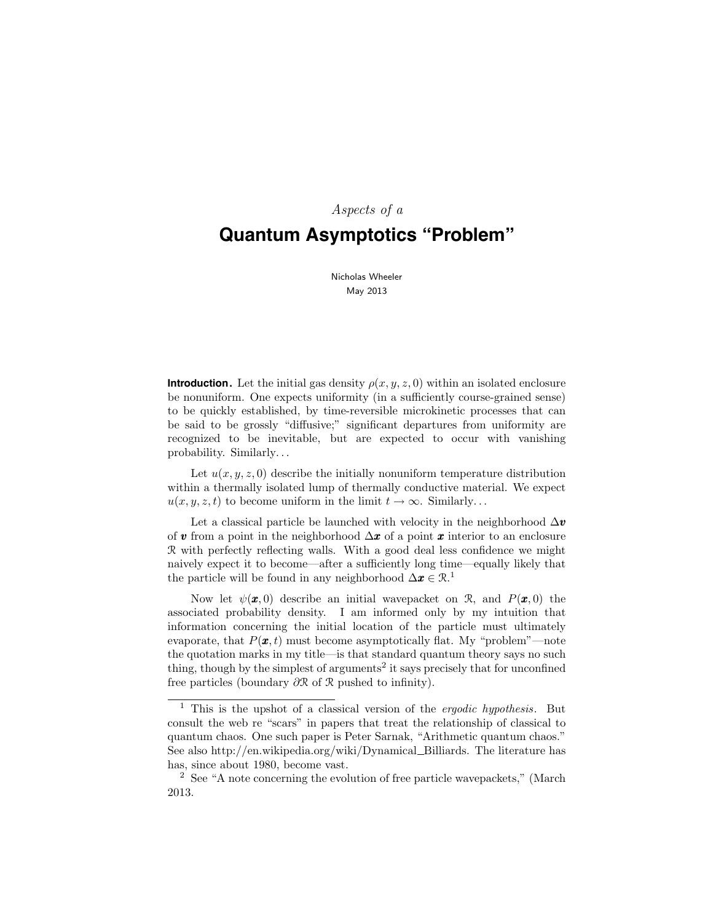# Aspects of a **Quantum Asymptotics "Problem"**

Nicholas Wheeler May 2013

**Introduction.** Let the initial gas density  $\rho(x, y, z, 0)$  within an isolated enclosure be nonuniform. One expects uniformity (in a sufficiently course-grained sense) to be quickly established, by time-reversible microkinetic processes that can be said to be grossly "diffusive;" significant departures from uniformity are recognized to be inevitable, but are expected to occur with vanishing probability. Similarly. . .

Let  $u(x, y, z, 0)$  describe the initially nonuniform temperature distribution within a thermally isolated lump of thermally conductive material. We expect  $u(x, y, z, t)$  to become uniform in the limit  $t \to \infty$ . Similarly...

Let a classical particle be launched with velocity in the neighborhood  $\Delta v$ of v from a point in the neighborhood  $\Delta x$  of a point x interior to an enclosure R with perfectly reflecting walls. With a good deal less confidence we might naively expect it to become—after a sufficiently long time—equally likely that the particle will be found in any neighborhood  $\Delta x \in \mathbb{R}^1$ .

Now let  $\psi(\mathbf{x},0)$  describe an initial wavepacket on R, and  $P(\mathbf{x},0)$  the associated probability density. I am informed only by my intuition that information concerning the initial location of the particle must ultimately evaporate, that  $P(\mathbf{x},t)$  must become asymptotically flat. My "problem"—note the quotation marks in my title—is that standard quantum theory says no such thing, though by the simplest of arguments<sup>2</sup> it says precisely that for unconfined free particles (boundary ∂R of R pushed to infinity).

<sup>&</sup>lt;sup>1</sup> This is the upshot of a classical version of the *ergodic hypothesis*. But consult the web re "scars" in papers that treat the relationship of classical to quantum chaos. One such paper is Peter Sarnak, "Arithmetic quantum chaos." See also http://en.wikipedia.org/wiki/Dynamical Billiards. The literature has has, since about 1980, become vast.

<sup>2</sup> See "A note concerning the evolution of free particle wavepackets," (March 2013.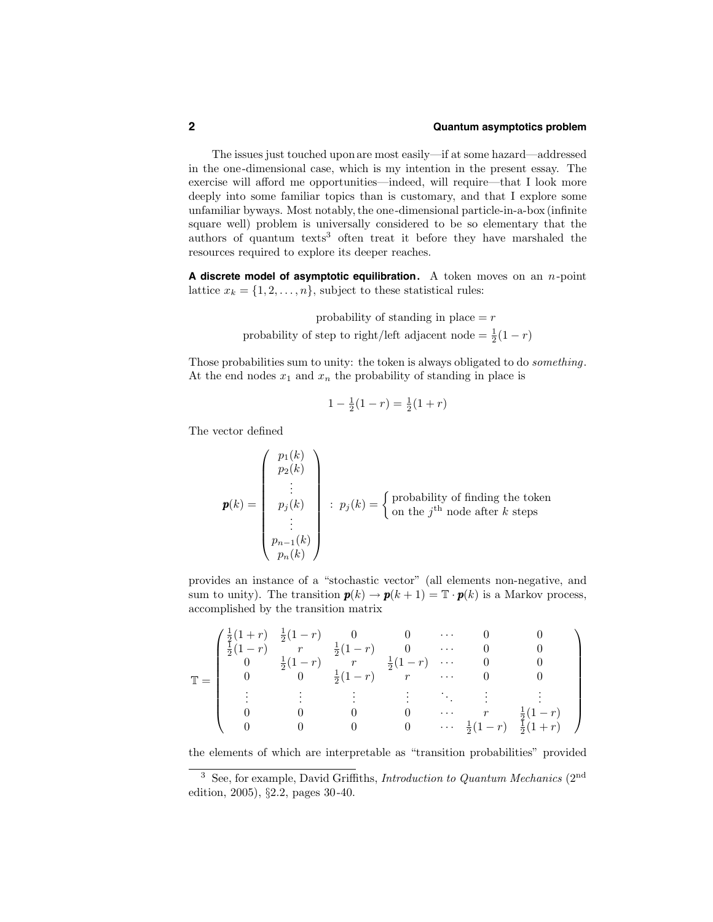The issues just touched uponare most easily—if at some hazard—addressed in the one-dimensional case, which is my intention in the present essay. The exercise will afford me opportunities—indeed, will require—that I look more deeply into some familiar topics than is customary, and that I explore some unfamiliar byways. Most notably, the one-dimensional particle-in-a-box (infinite square well) problem is universally considered to be so elementary that the authors of quantum texts<sup>3</sup> often treat it before they have marshaled the resources required to explore its deeper reaches.

**A discrete model of asymptotic equilibration.** A token moves on an n-point lattice  $x_k = \{1, 2, \ldots, n\}$ , subject to these statistical rules:

> probability of standing in place  $=r$ probability of step to right/left adjacent node =  $\frac{1}{2}(1-r)$

Those probabilities sum to unity: the token is always obligated to do something. At the end nodes  $x_1$  and  $x_n$  the probability of standing in place is

$$
1 - \frac{1}{2}(1 - r) = \frac{1}{2}(1 + r)
$$

The vector defined

$$
\mathbf{p}(k) = \begin{pmatrix} p_1(k) \\ p_2(k) \\ \vdots \\ p_j(k) \\ \vdots \\ p_{n-1}(k) \\ p_n(k) \end{pmatrix} : p_j(k) = \begin{cases} \text{probability of finding the token} \\ \text{on the } j^{\text{th}} \text{ node after } k \text{ steps} \end{cases}
$$

provides an instance of a "stochastic vector" (all elements non-negative, and sum to unity). The transition  $p(k) \to p(k+1) = \mathbb{T} \cdot p(k)$  is a Markov process, accomplished by the transition matrix

$$
\mathbb{T} = \begin{pmatrix}\n\frac{1}{2}(1+r) & \frac{1}{2}(1-r) & 0 & 0 & \cdots & 0 & 0 \\
\frac{1}{2}(1-r) & r & \frac{1}{2}(1-r) & 0 & \cdots & 0 & 0 \\
0 & \frac{1}{2}(1-r) & r & \frac{1}{2}(1-r) & \cdots & 0 & 0 \\
0 & 0 & \frac{1}{2}(1-r) & r & \cdots & 0 & 0 \\
\vdots & \vdots & \vdots & \vdots & \ddots & \vdots & \vdots \\
0 & 0 & 0 & 0 & \cdots & r & \frac{1}{2}(1-r) \\
0 & 0 & 0 & 0 & \cdots & \frac{1}{2}(1-r) & \frac{1}{2}(1+r)\n\end{pmatrix}
$$

the elements of which are interpretable as "transition probabilities" provided

<sup>&</sup>lt;sup>3</sup> See, for example, David Griffiths, *Introduction to Quantum Mechanics* ( $2<sup>nd</sup>$ edition, 2005), §2.2, pages 30-40.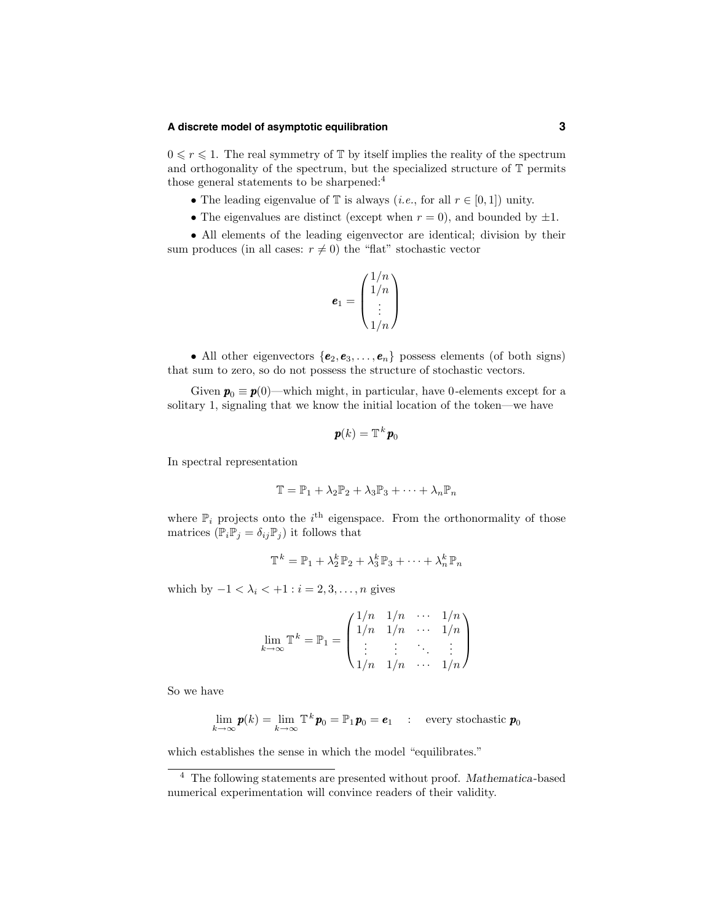#### **A discrete model of asymptotic equilibration 3**

 $0 \leq r \leq 1$ . The real symmetry of  $\mathbb{T}$  by itself implies the reality of the spectrum and orthogonality of the spectrum, but the specialized structure of T permits those general statements to be sharpened:<sup>4</sup>

- The leading eigenvalue of  $\mathbb T$  is always (*i.e.*, for all  $r \in [0,1]$ ) unity.
- The eigenvalues are distinct (except when  $r = 0$ ), and bounded by  $\pm 1$ .

• All elements of the leading eigenvector are identical; division by their sum produces (in all cases:  $r \neq 0$ ) the "flat" stochastic vector

$$
\boldsymbol{e}_1 = \begin{pmatrix} 1/n \\ 1/n \\ \vdots \\ 1/n \end{pmatrix}
$$

• All other eigenvectors  $\{e_2, e_3, \ldots, e_n\}$  possess elements (of both signs) that sum to zero, so do not possess the structure of stochastic vectors.

Given  $p_0 \equiv p(0)$ —which might, in particular, have 0-elements except for a solitary 1, signaling that we know the initial location of the token—we have

$$
\pmb{p}(k)=\mathbb{T}^k\pmb{p}_0
$$

In spectral representation

$$
\mathbb{T} = \mathbb{P}_1 + \lambda_2 \mathbb{P}_2 + \lambda_3 \mathbb{P}_3 + \cdots + \lambda_n \mathbb{P}_n
$$

where  $\mathbb{P}_i$  projects onto the  $i^{\text{th}}$  eigenspace. From the orthonormality of those matrices  $(\mathbb{P}_i \mathbb{P}_j = \delta_{ij} \mathbb{P}_j)$  it follows that

$$
\mathbb{T}^k = \mathbb{P}_1 + \lambda_2^k \mathbb{P}_2 + \lambda_3^k \mathbb{P}_3 + \cdots + \lambda_n^k \mathbb{P}_n
$$

which by  $-1 < \lambda_i < +1$ :  $i = 2, 3, \ldots, n$  gives

$$
\lim_{k \to \infty} \mathbb{T}^k = \mathbb{P}_1 = \begin{pmatrix} 1/n & 1/n & \cdots & 1/n \\ 1/n & 1/n & \cdots & 1/n \\ \vdots & \vdots & \ddots & \vdots \\ 1/n & 1/n & \cdots & 1/n \end{pmatrix}
$$

So we have

$$
\lim_{k \to \infty} \boldsymbol{p}(k) = \lim_{k \to \infty} \mathbb{T}^k \boldsymbol{p}_0 = \mathbb{P}_1 \boldsymbol{p}_0 = \boldsymbol{e}_1 \quad : \quad \text{every stochastic } \boldsymbol{p}_0
$$

which establishes the sense in which the model "equilibrates."

<sup>&</sup>lt;sup>4</sup> The following statements are presented without proof. Mathematica-based numerical experimentation will convince readers of their validity.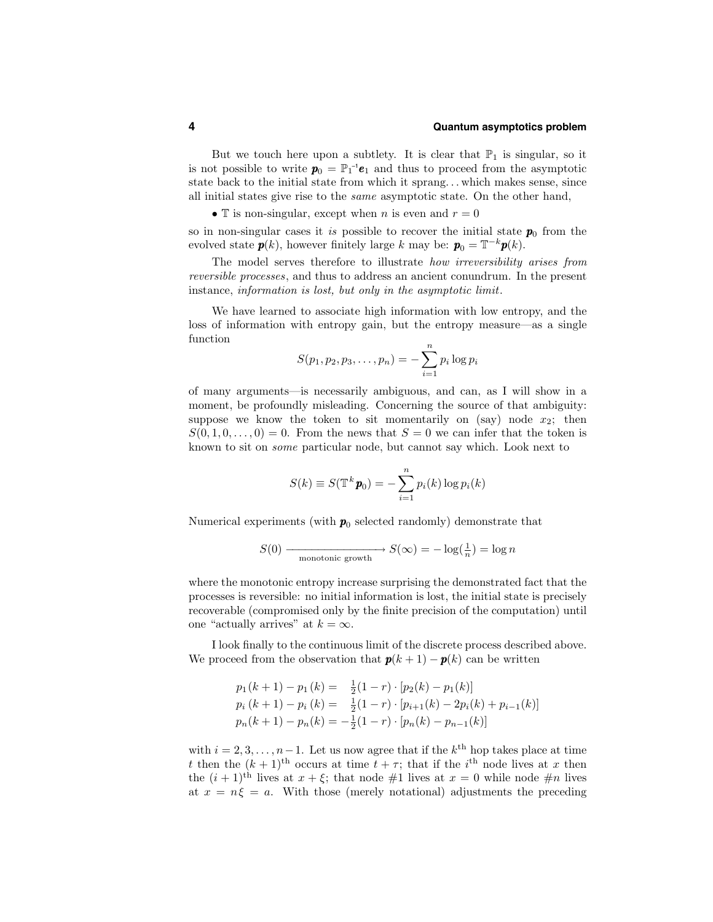But we touch here upon a subtlety. It is clear that  $\mathbb{P}_1$  is singular, so it is not possible to write  $p_0 = \mathbb{P}_1^{-1}e_1$  and thus to proceed from the asymptotic state back to the initial state from which it sprang. . . which makes sense, since all initial states give rise to the same asymptotic state. On the other hand,

• T is non-singular, except when *n* is even and  $r = 0$ 

so in non-singular cases it is possible to recover the initial state  $p_0$  from the evolved state  $p(k)$ , however finitely large k may be:  $p_0 = \mathbb{T}^{-k}p(k)$ .

The model serves therefore to illustrate how irreversibility arises from reversible processes, and thus to address an ancient conundrum. In the present instance, information is lost, but only in the asymptotic limit.

We have learned to associate high information with low entropy, and the loss of information with entropy gain, but the entropy measure—as a single function

$$
S(p_1, p_2, p_3, \dots, p_n) = -\sum_{i=1}^n p_i \log p_i
$$

of many arguments—is necessarily ambiguous, and can, as I will show in a moment, be profoundly misleading. Concerning the source of that ambiguity: suppose we know the token to sit momentarily on (say) node  $x_2$ ; then  $S(0,1,0,\ldots,0) = 0$ . From the news that  $S = 0$  we can infer that the token is known to sit on some particular node, but cannot say which. Look next to

$$
S(k) \equiv S(\mathbb{T}^k \mathbf{p}_0) = -\sum_{i=1}^n p_i(k) \log p_i(k)
$$

Numerical experiments (with  $p_0$  selected randomly) demonstrate that

$$
S(0) \xrightarrow{\text{monotonic growth}} S(\infty) = -\log(\frac{1}{n}) = \log n
$$

where the monotonic entropy increase surprising the demonstrated fact that the processes is reversible: no initial information is lost, the initial state is precisely recoverable (compromised only by the finite precision of the computation) until one "actually arrives" at  $k = \infty$ .

I look finally to the continuous limit of the discrete process described above. We proceed from the observation that  $p(k+1) - p(k)$  can be written

$$
p_1(k + 1) - p_1(k) = \frac{1}{2}(1 - r) \cdot [p_2(k) - p_1(k)]
$$
  
\n
$$
p_i(k + 1) - p_i(k) = \frac{1}{2}(1 - r) \cdot [p_{i+1}(k) - 2p_i(k) + p_{i-1}(k)]
$$
  
\n
$$
p_n(k + 1) - p_n(k) = -\frac{1}{2}(1 - r) \cdot [p_n(k) - p_{n-1}(k)]
$$

with  $i = 2, 3, \ldots, n-1$ . Let us now agree that if the  $k^{\text{th}}$  hop takes place at time t then the  $(k+1)$ <sup>th</sup> occurs at time  $t + \tau$ ; that if the i<sup>th</sup> node lives at x then the  $(i + 1)$ <sup>th</sup> lives at  $x + \xi$ ; that node #1 lives at  $x = 0$  while node #n lives at  $x = n\xi = a$ . With those (merely notational) adjustments the preceding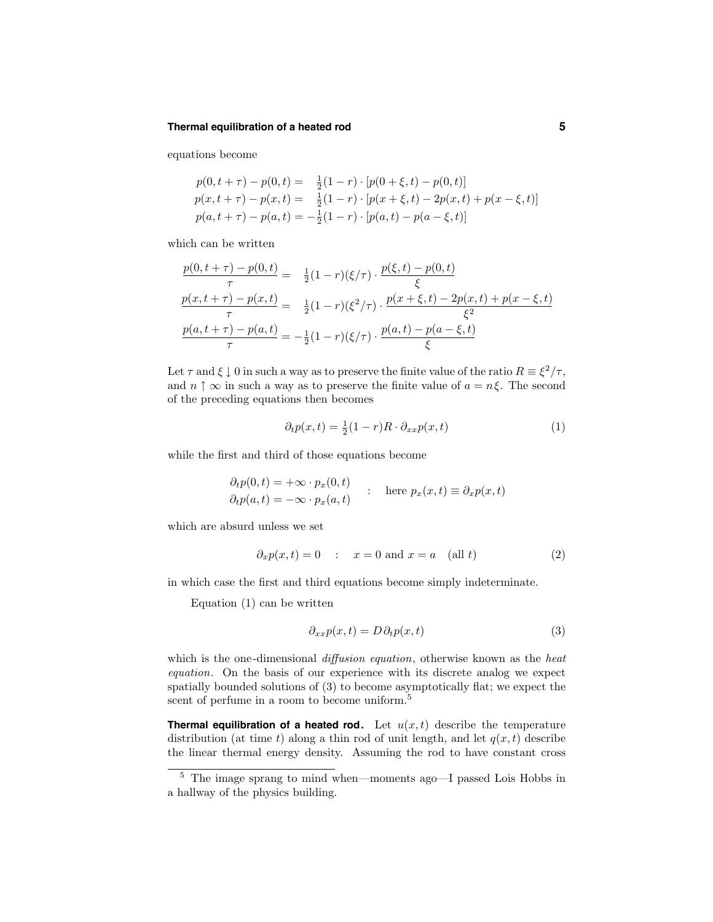#### **Thermal equilibration of a heated rod 5**

equations become

$$
p(0, t + \tau) - p(0, t) = \frac{1}{2}(1 - r) \cdot [p(0 + \xi, t) - p(0, t)]
$$
  
\n
$$
p(x, t + \tau) - p(x, t) = \frac{1}{2}(1 - r) \cdot [p(x + \xi, t) - 2p(x, t) + p(x - \xi, t)]
$$
  
\n
$$
p(a, t + \tau) - p(a, t) = -\frac{1}{2}(1 - r) \cdot [p(a, t) - p(a - \xi, t)]
$$

which can be written

$$
\frac{p(0, t + \tau) - p(0, t)}{\tau} = \frac{1}{2}(1 - r)(\xi/\tau) \cdot \frac{p(\xi, t) - p(0, t)}{\xi}
$$

$$
\frac{p(x, t + \tau) - p(x, t)}{\tau} = \frac{1}{2}(1 - r)(\xi^2/\tau) \cdot \frac{p(x + \xi, t) - 2p(x, t) + p(x - \xi, t)}{\xi^2}
$$

$$
\frac{p(a, t + \tau) - p(a, t)}{\tau} = -\frac{1}{2}(1 - r)(\xi/\tau) \cdot \frac{p(a, t) - p(a - \xi, t)}{\xi}
$$

Let  $\tau$  and  $\xi \downarrow 0$  in such a way as to preserve the finite value of the ratio  $R \equiv \xi^2/\tau$ , and  $n \uparrow \infty$  in such a way as to preserve the finite value of  $a = n \xi$ . The second of the preceding equations then becomes

$$
\partial_t p(x,t) = \frac{1}{2}(1-r)R \cdot \partial_{xx} p(x,t) \tag{1}
$$

while the first and third of those equations become

$$
\partial_t p(0, t) = +\infty \cdot p_x(0, t) \n\partial_t p(a, t) = -\infty \cdot p_x(a, t) \qquad \text{here } p_x(x, t) \equiv \partial_x p(x, t)
$$

which are absurd unless we set

$$
\partial_x p(x,t) = 0 \quad : \quad x = 0 \text{ and } x = a \quad \text{(all } t \text{)}
$$
 (2)

in which case the first and third equations become simply indeterminate.

Equation (1) can be written

$$
\partial_{xx}p(x,t) = D\partial_t p(x,t) \tag{3}
$$

which is the one-dimensional *diffusion equation*, otherwise known as the *heat* equation. On the basis of our experience with its discrete analog we expect spatially bounded solutions of (3) to become asymptotically flat; we expect the scent of perfume in a room to become uniform.<sup>5</sup>

**Thermal equilibration of a heated rod.** Let  $u(x,t)$  describe the temperature distribution (at time t) along a thin rod of unit length, and let  $q(x,t)$  describe the linear thermal energy density. Assuming the rod to have constant cross

 $^5\,$  The image sprang to mind when—moments ago—I passed Lois Hobbs in a hallway of the physics building.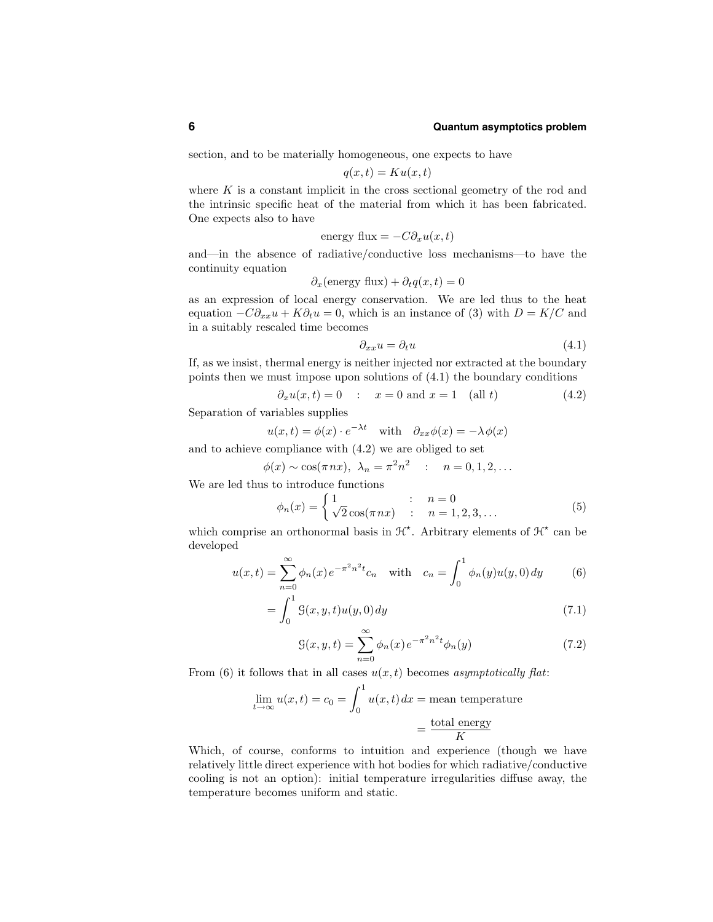section, and to be materially homogeneous, one expects to have

$$
q(x,t) = Ku(x,t)
$$

where  $K$  is a constant implicit in the cross sectional geometry of the rod and the intrinsic specific heat of the material from which it has been fabricated. One expects also to have

energy flux = 
$$
-C\partial_x u(x, t)
$$

and—in the absence of radiative/conductive loss mechanisms—to have the continuity equation

$$
\partial_x
$$
(energy flux) +  $\partial_t q(x, t) = 0$ 

as an expression of local energy conservation. We are led thus to the heat equation  $-C\partial_{xx}u + K\partial_t u = 0$ , which is an instance of (3) with  $D = K/C$  and in a suitably rescaled time becomes

$$
\partial_{xx} u = \partial_t u \tag{4.1}
$$

If, as we insist, thermal energy is neither injected nor extracted at the boundary points then we must impose upon solutions of (4.1) the boundary conditions

$$
\partial_x u(x,t) = 0 \quad : \quad x = 0 \text{ and } x = 1 \quad \text{(all } t \text{)} \tag{4.2}
$$

Separation of variables supplies

$$
u(x,t) = \phi(x) \cdot e^{-\lambda t}
$$
 with  $\partial_{xx} \phi(x) = -\lambda \phi(x)$ 

and to achieve compliance with (4.2) we are obliged to set

$$
\phi(x) \sim \cos(\pi nx), \ \lambda_n = \pi^2 n^2 \quad : \quad n = 0, 1, 2, \dots
$$

We are led thus to introduce functions

$$
\phi_n(x) = \begin{cases} 1 & : & n = 0 \\ \sqrt{2}\cos(\pi nx) & : & n = 1, 2, 3, ... \end{cases}
$$
(5)

which comprise an orthonormal basis in  $\mathcal{H}^*$ . Arbitrary elements of  $\mathcal{H}^*$  can be developed

$$
u(x,t) = \sum_{n=0}^{\infty} \phi_n(x) e^{-\pi^2 n^2 t} c_n \quad \text{with} \quad c_n = \int_0^1 \phi_n(y) u(y,0) dy \tag{6}
$$

$$
= \int_{0}^{1} \mathcal{G}(x, y, t) u(y, 0) \, dy \tag{7.1}
$$

$$
\mathcal{G}(x, y, t) = \sum_{n=0}^{\infty} \phi_n(x) e^{-\pi^2 n^2 t} \phi_n(y)
$$
\n(7.2)

From (6) it follows that in all cases  $u(x,t)$  becomes asymptotically flat:

$$
\lim_{t \to \infty} u(x, t) = c_0 = \int_0^1 u(x, t) dx = \text{mean temperature}
$$

$$
= \frac{\text{total energy}}{K}
$$

Which, of course, conforms to intuition and experience (though we have relatively little direct experience with hot bodies for which radiative/conductive cooling is not an option): initial temperature irregularities diffuse away, the temperature becomes uniform and static.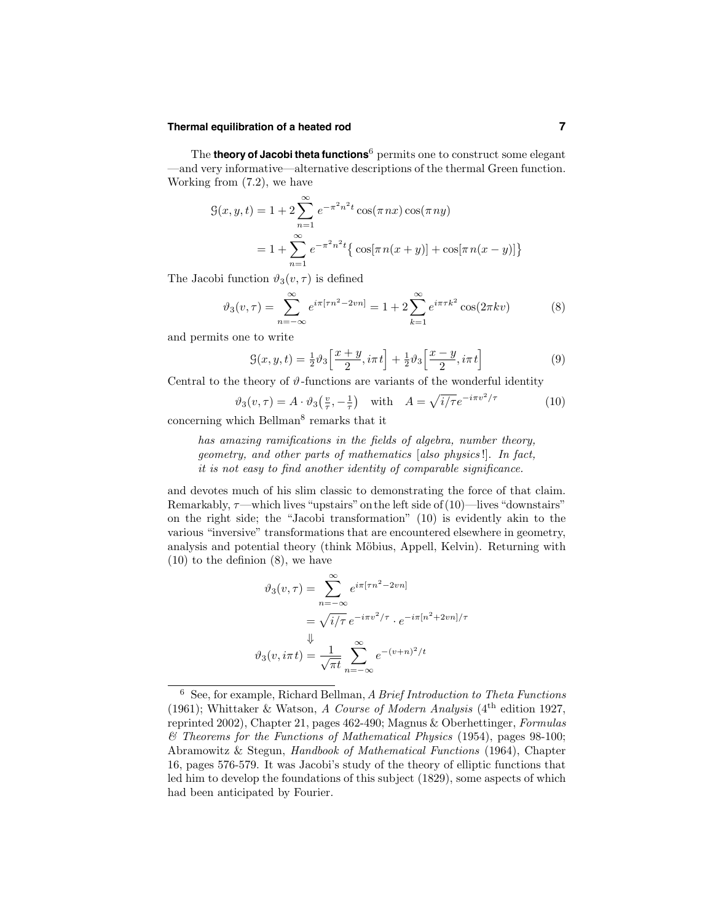# **Thermal equilibration of a heated rod 7**

The **theory of Jacobi theta functions**<sup>6</sup> permits one to construct some elegant —and very informative—alternative descriptions of the thermal Green function. Working from (7.2), we have

$$
G(x, y, t) = 1 + 2 \sum_{n=1}^{\infty} e^{-\pi^2 n^2 t} \cos(\pi nx) \cos(\pi ny)
$$
  
=  $1 + \sum_{n=1}^{\infty} e^{-\pi^2 n^2 t} {\cos[\pi n(x + y)] + \cos[\pi n(x - y)] }$ 

The Jacobi function  $\vartheta_3(v, \tau)$  is defined

$$
\vartheta_3(v,\tau) = \sum_{n=-\infty}^{\infty} e^{i\pi[\tau n^2 - 2vn]} = 1 + 2 \sum_{k=1}^{\infty} e^{i\pi\tau k^2} \cos(2\pi kv)
$$
 (8)

and permits one to write

$$
\mathcal{G}(x,y,t) = \frac{1}{2}\vartheta_3 \left[\frac{x+y}{2}, i\pi t\right] + \frac{1}{2}\vartheta_3 \left[\frac{x-y}{2}, i\pi t\right]
$$
\n
$$
(9)
$$

Central to the theory of  $\vartheta$ -functions are variants of the wonderful identity

$$
\vartheta_3(v,\tau) = A \cdot \vartheta_3\left(\frac{v}{\tau}, -\frac{1}{\tau}\right) \quad \text{with} \quad A = \sqrt{i/\tau}e^{-i\pi v^2/\tau} \tag{10}
$$

concerning which Bellman<sup>8</sup> remarks that it

has amazing ramifications in the fields of algebra, number theory, geometry, and other parts of mathematics [also physics !]. In fact, it is not easy to find another identity of comparable significance.

and devotes much of his slim classic to demonstrating the force of that claim. Remarkably,  $\tau$ —which lives "upstairs" on the left side of (10)—lives "downstairs" on the right side; the "Jacobi transformation" (10) is evidently akin to the various "inversive" transformations that are encountered elsewhere in geometry, analysis and potential theory (think Möbius, Appell, Kelvin). Returning with (10) to the definion (8), we have

$$
\vartheta_3(v,\tau) = \sum_{n=-\infty}^{\infty} e^{i\pi[\tau n^2 - 2vn]}
$$

$$
= \sqrt{i/\tau} e^{-i\pi v^2/\tau} \cdot e^{-i\pi[n^2 + 2vn]/\tau}
$$

$$
\Downarrow
$$

$$
\vartheta_3(v, i\pi t) = \frac{1}{\sqrt{\pi t}} \sum_{n=-\infty}^{\infty} e^{-(v+n)^2/t}
$$

 $6$  See, for example, Richard Bellman, A Brief Introduction to Theta Functions (1961); Whittaker & Watson, A Course of Modern Analysis ( $4<sup>th</sup>$  edition 1927, reprinted 2002), Chapter 21, pages 462-490; Magnus & Oberhettinger, Formulas & Theorems for the Functions of Mathematical Physics (1954), pages 98-100; Abramowitz & Stegun, Handbook of Mathematical Functions (1964), Chapter 16, pages 576-579. It was Jacobi's study of the theory of elliptic functions that led him to develop the foundations of this subject (1829), some aspects of which had been anticipated by Fourier.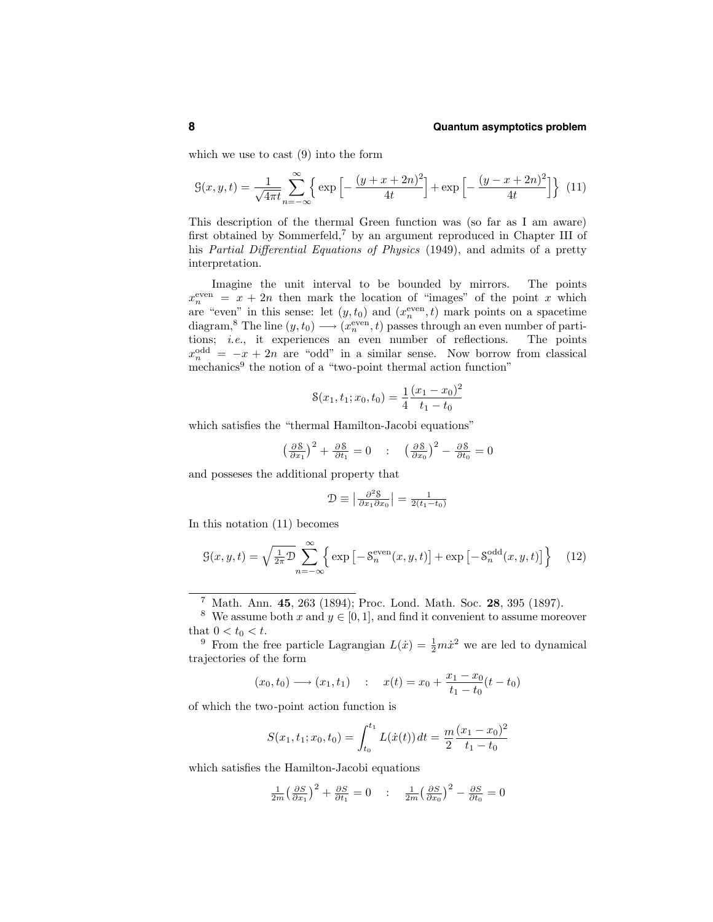which we use to cast (9) into the form

$$
\mathcal{G}(x, y, t) = \frac{1}{\sqrt{4\pi t}} \sum_{n=-\infty}^{\infty} \left\{ \exp\left[ -\frac{(y+x+2n)^2}{4t} \right] + \exp\left[ -\frac{(y-x+2n)^2}{4t} \right] \right\} (11)
$$

This description of the thermal Green function was (so far as I am aware) first obtained by Sommerfeld,<sup>7</sup> by an argument reproduced in Chapter III of his Partial Differential Equations of Physics (1949), and admits of a pretty interpretation.

Imagine the unit interval to be bounded by mirrors. The points  $x_n^{\text{even}} = x + 2n$  then mark the location of "images" of the point x which are "even" in this sense: let  $(y, t_0)$  and  $(x_n^{\text{even}}, t)$  mark points on a spacetime diagram,<sup>8</sup> The line  $(y, t_0) \longrightarrow (x_n^{\text{even}}, t)$  passes through an even number of partitions; i.e., it experiences an even number of reflections. The points  $x_n^{\text{odd}} = -x + 2n$  are "odd" in a similar sense. Now borrow from classical mechanics<sup>9</sup> the notion of a "two-point thermal action function"

$$
S(x_1, t_1; x_0, t_0) = \frac{1}{4} \frac{(x_1 - x_0)^2}{t_1 - t_0}
$$

which satisfies the "thermal Hamilton-Jacobi equations"

$$
\left(\frac{\partial \mathcal{S}}{\partial x_1}\right)^2 + \frac{\partial \mathcal{S}}{\partial t_1} = 0 \quad : \quad \left(\frac{\partial \mathcal{S}}{\partial x_0}\right)^2 - \frac{\partial \mathcal{S}}{\partial t_0} = 0
$$

and posseses the additional property that

$$
\mathcal{D} \equiv \left| \frac{\partial^2 \mathcal{S}}{\partial x_1 \partial x_0} \right| = \frac{1}{2(t_1 - t_0)}
$$

In this notation (11) becomes

$$
\mathcal{G}(x, y, t) = \sqrt{\frac{1}{2\pi} \mathcal{D}} \sum_{n = -\infty}^{\infty} \left\{ \exp\left[-\mathcal{S}_n^{\text{even}}(x, y, t)\right] + \exp\left[-\mathcal{S}_n^{\text{odd}}(x, y, t)\right] \right\} \tag{12}
$$

<sup>7</sup> Math. Ann. 45, 263 (1894); Proc. Lond. Math. Soc. 28, 395 (1897).

that  $0 < t_0 < t$ .<br><sup>9</sup> From the free particle Lagrangian  $L(\dot{x}) = \frac{1}{2}m\dot{x}^2$  we are led to dynamical trajectories of the form

$$
(x_0, t_0) \longrightarrow (x_1, t_1) \quad : \quad x(t) = x_0 + \frac{x_1 - x_0}{t_1 - t_0}(t - t_0)
$$

of which the two-point action function is

$$
S(x_1, t_1; x_0, t_0) = \int_{t_0}^{t_1} L(\dot{x}(t)) dt = \frac{m}{2} \frac{(x_1 - x_0)^2}{t_1 - t_0}
$$

which satisfies the Hamilton-Jacobi equations

$$
\frac{1}{2m} \left(\frac{\partial S}{\partial x_1}\right)^2 + \frac{\partial S}{\partial t_1} = 0 \qquad ; \qquad \frac{1}{2m} \left(\frac{\partial S}{\partial x_0}\right)^2 - \frac{\partial S}{\partial t_0} = 0
$$

<sup>&</sup>lt;sup>8</sup> We assume both x and  $y \in [0, 1]$ , and find it convenient to assume moreover that  $0 < t_0 < t$ .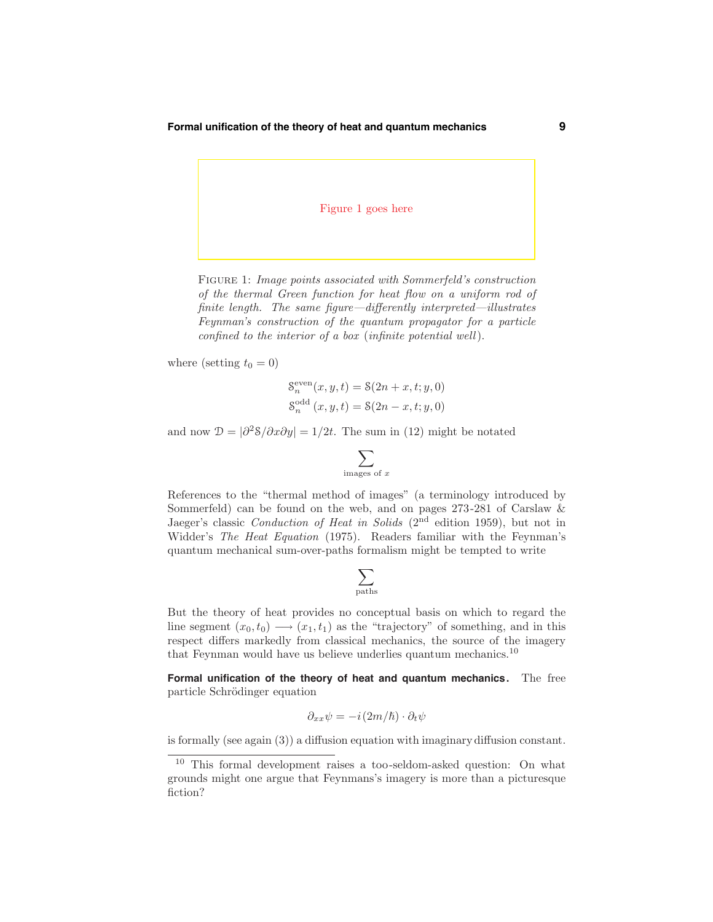# Figure 1 goes here

Figure 1: Image points associated with Sommerfeld's construction of the thermal Green function for heat flow on a uniform rod of finite length. The same figure—differently interpreted—illustrates Feynman's construction of the quantum propagator for a particle confined to the interior of a box (infinite potential well).

where (setting  $t_0 = 0$ )

$$
S_n^{\text{even}}(x, y, t) = \mathcal{S}(2n + x, t; y, 0)
$$

$$
S_n^{\text{odd}}(x, y, t) = \mathcal{S}(2n - x, t; y, 0)
$$

and now  $\mathcal{D} = |\partial^2 \mathcal{S}/\partial x \partial y| = 1/2t$ . The sum in (12) might be notated

$$
\sum_{\text{images of } x}
$$

References to the "thermal method of images" (a terminology introduced by Sommerfeld) can be found on the web, and on pages 273-281 of Carslaw & Jaeger's classic Conduction of Heat in Solids  $(2<sup>nd</sup>$  edition 1959), but not in Widder's The Heat Equation (1975). Readers familiar with the Feynman's quantum mechanical sum-over-paths formalism might be tempted to write

$$
\sum_{\rm paths}
$$

But the theory of heat provides no conceptual basis on which to regard the line segment  $(x_0, t_0) \longrightarrow (x_1, t_1)$  as the "trajectory" of something, and in this respect differs markedly from classical mechanics, the source of the imagery that Feynman would have us believe underlies quantum mechanics.<sup>10</sup>

**Formal unification of the theory of heat and quantum mechanics.** The free particle Schrödinger equation

$$
\partial_{xx}\psi = -i(2m/\hbar)\cdot\partial_t\psi
$$

is formally (see again (3)) a diffusion equation with imaginarydiffusion constant.

<sup>10</sup> This formal development raises a too-seldom-asked question: On what grounds might one argue that Feynmans's imagery is more than a picturesque fiction?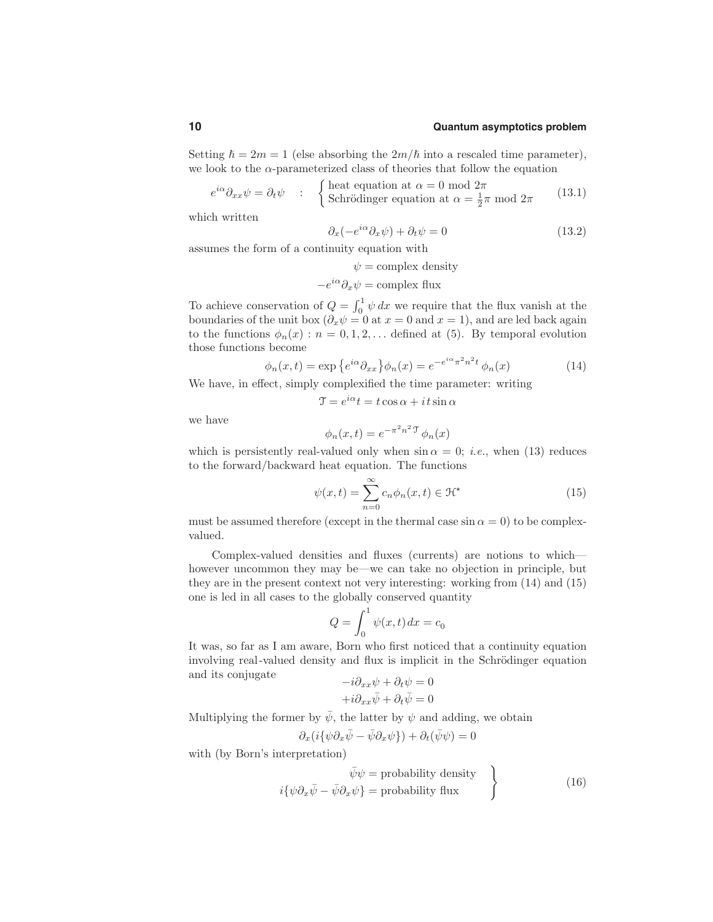Setting  $\hbar = 2m = 1$  (else absorbing the  $2m/\hbar$  into a rescaled time parameter), we look to the  $\alpha$ -parameterized class of theories that follow the equation

$$
e^{i\alpha}\partial_{xx}\psi = \partial_t\psi \qquad ; \qquad \begin{cases} \text{heat equation at } \alpha = 0 \text{ mod } 2\pi \\ \text{Schrödinger equation at } \alpha = \frac{1}{2}\pi \text{ mod } 2\pi \end{cases} \tag{13.1}
$$

which written

$$
\partial_x(-e^{i\alpha}\partial_x\psi) + \partial_t\psi = 0 \tag{13.2}
$$

assumes the form of a continuity equation with

$$
\psi = \text{complex density}
$$

$$
-e^{i\alpha}\partial_x\psi = \text{complex flux}
$$

To achieve conservation of  $Q = \int_0^1 \psi \, dx$  we require that the flux vanish at the boundaries of the unit box  $(\partial_x \psi = 0$  at  $x = 0$  and  $x = 1)$ , and are led back again to the functions  $\phi_n(x) : n = 0, 1, 2, \ldots$  defined at (5). By temporal evolution those functions become

$$
\phi_n(x,t) = \exp\left\{e^{i\alpha}\partial_{xx}\right\}\phi_n(x) = e^{-e^{i\alpha}\pi^2n^2t}\phi_n(x) \tag{14}
$$

We have, in effect, simply complexified the time parameter: writing

$$
\mathcal{T} = e^{i\alpha}t = t\cos\alpha + it\sin\alpha
$$

we have

$$
\phi_n(x,t) = e^{-\pi^2 n^2} \phi_n(x)
$$

which is persistently real-valued only when  $\sin \alpha = 0$ ; *i.e.*, when (13) reduces to the forward/backward heat equation. The functions

$$
\psi(x,t) = \sum_{n=0}^{\infty} c_n \phi_n(x,t) \in \mathcal{H}^{\star}
$$
\n(15)

must be assumed therefore (except in the thermal case  $\sin \alpha = 0$ ) to be complexvalued.

Complex-valued densities and fluxes (currents) are notions to which however uncommon they may be—we can take no objection in principle, but they are in the present context not very interesting: working from (14) and (15) one is led in all cases to the globally conserved quantity

$$
Q = \int_0^1 \psi(x, t) dx = c_0
$$

It was, so far as I am aware, Born who first noticed that a continuity equation involving real-valued density and flux is implicit in the Schrödinger equation and its conjugate

$$
-i\partial_{xx}\psi + \partial_t\psi = 0
$$

$$
+i\partial_{xx}\bar{\psi} + \partial_t\bar{\psi} = 0
$$

Multiplying the former by  $\bar{\psi}$ , the latter by  $\psi$  and adding, we obtain

$$
\partial_x(i\{\psi\partial_x\bar{\psi}-\bar{\psi}\partial_x\psi\})+\partial_t(\bar{\psi}\psi)=0
$$

with (by Born's interpretation)

$$
\bar{\psi}\psi = \text{probability density}
$$
\n
$$
i\{\psi\partial_x\bar{\psi} - \bar{\psi}\partial_x\psi\} = \text{probability flux}
$$
\n(16)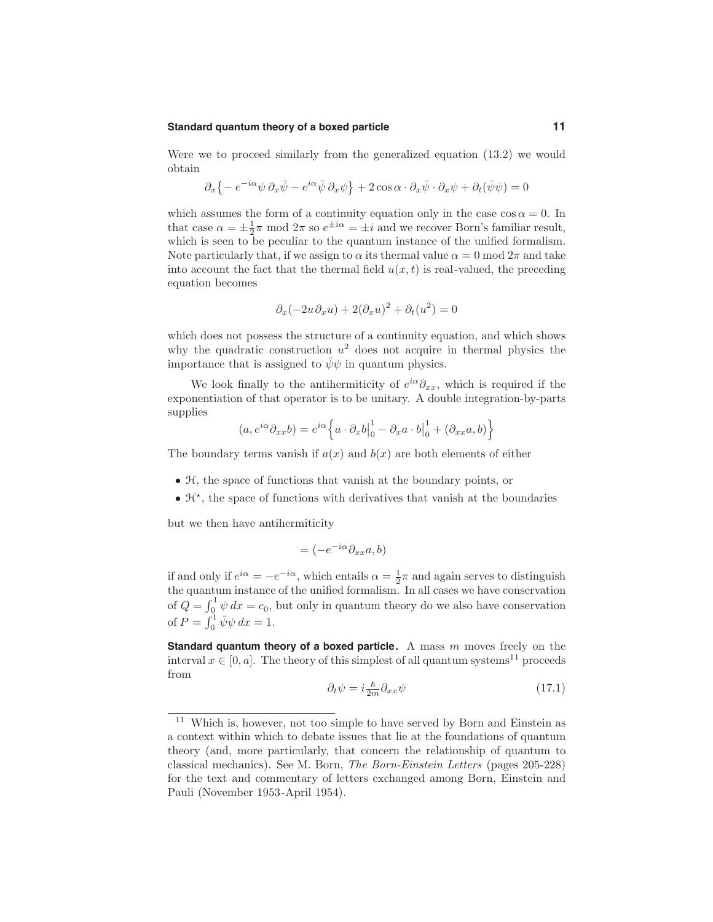#### **Standard quantum theory of a boxed particle 11**

Were we to proceed similarly from the generalized equation (13.2) we would obtain

$$
\partial_x \left\{ -e^{-i\alpha} \psi \, \partial_x \bar{\psi} - e^{i\alpha} \bar{\psi} \, \partial_x \psi \right\} + 2 \cos \alpha \cdot \partial_x \bar{\psi} \cdot \partial_x \psi + \partial_t (\bar{\psi} \psi) = 0
$$

which assumes the form of a continuity equation only in the case  $\cos \alpha = 0$ . In that case  $\alpha = \pm \frac{1}{2}\pi$  mod  $2\pi$  so  $e^{\pm i\alpha} = \pm i$  and we recover Born's familiar result, which is seen to be peculiar to the quantum instance of the unified formalism. Note particularly that, if we assign to  $\alpha$  its thermal value  $\alpha = 0 \mod 2\pi$  and take into account the fact that the thermal field  $u(x,t)$  is real-valued, the preceding equation becomes

$$
\partial_x(-2u\partial_x u) + 2(\partial_x u)^2 + \partial_t(u^2) = 0
$$

which does not possess the structure of a continuity equation, and which shows why the quadratic construction  $u^2$  does not acquire in thermal physics the importance that is assigned to  $\bar{\psi}\psi$  in quantum physics.

We look finally to the antihermiticity of  $e^{i\alpha}\partial_{xx}$ , which is required if the exponentiation of that operator is to be unitary. A double integration-by-parts supplies

$$
(a, e^{i\alpha}\partial_{xx}b) = e^{i\alpha}\left\{a \cdot \partial_x b\Big|_0^1 - \partial_x a \cdot b\Big|_0^1 + (\partial_{xx}a, b)\right\}
$$

The boundary terms vanish if  $a(x)$  and  $b(x)$  are both elements of either

- H, the space of functions that vanish at the boundary points, or
- $\mathcal{H}^*$ , the space of functions with derivatives that vanish at the boundaries

but we then have antihermiticity

$$
= (-e^{-i\alpha} \partial_{xx} a, b)
$$

if and only if  $e^{i\alpha} = -e^{-i\alpha}$ , which entails  $\alpha = \frac{1}{2}\pi$  and again serves to distinguish the quantum instance of the unified formalism. In all cases we have conservation of  $Q = \int_0^1 \psi \, dx = c_0$ , but only in quantum theory do we also have conservation of  $P = \int_0^1 \bar{\psi} \psi \, dx = 1.$ 

**Standard quantum theory of a boxed particle.** A mass m moves freely on the interval  $x \in [0, a]$ . The theory of this simplest of all quantum systems<sup>11</sup> proceeds from

$$
\partial_t \psi = i \frac{\hbar}{2m} \partial_{xx} \psi \tag{17.1}
$$

<sup>&</sup>lt;sup>11</sup> Which is, however, not too simple to have served by Born and Einstein as a context within which to debate issues that lie at the foundations of quantum theory (and, more particularly, that concern the relationship of quantum to classical mechanics). See M. Born, The Born-Einstein Letters (pages 205-228) for the text and commentary of letters exchanged among Born, Einstein and Pauli (November 1953-April 1954).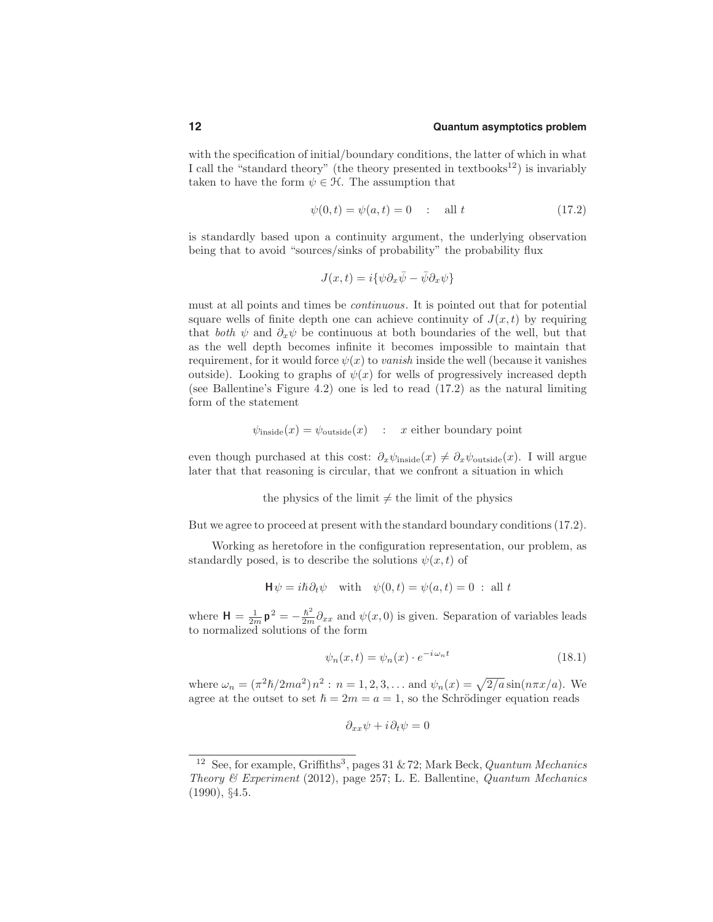with the specification of initial/boundary conditions, the latter of which in what I call the "standard theory" (the theory presented in textbooks<sup>12</sup>) is invariably taken to have the form  $\psi \in \mathcal{H}$ . The assumption that

$$
\psi(0, t) = \psi(a, t) = 0 \quad : \quad \text{all } t \tag{17.2}
$$

is standardly based upon a continuity argument, the underlying observation being that to avoid "sources/sinks of probability" the probability flux

$$
J(x,t)=i\{\psi\partial_x\bar{\psi}-\bar{\psi}\partial_x\psi\}
$$

must at all points and times be continuous. It is pointed out that for potential square wells of finite depth one can achieve continuity of  $J(x,t)$  by requiring that both  $\psi$  and  $\partial_x \psi$  be continuous at both boundaries of the well, but that as the well depth becomes infinite it becomes impossible to maintain that requirement, for it would force  $\psi(x)$  to vanish inside the well (because it vanishes outside). Looking to graphs of  $\psi(x)$  for wells of progressively increased depth (see Ballentine's Figure 4.2) one is led to read (17.2) as the natural limiting form of the statement

$$
\psi_{\text{inside}}(x) = \psi_{\text{outside}}(x) : x \text{ either boundary point}
$$

even though purchased at this cost:  $\partial_x \psi_{\text{inside}}(x) \neq \partial_x \psi_{\text{outside}}(x)$ . I will argue later that that reasoning is circular, that we confront a situation in which

the physics of the limit  $\neq$  the limit of the physics

But we agree to proceed at present with the standard boundary conditions(17.2).

Working as heretofore in the configuration representation, our problem, as standardly posed, is to describe the solutions  $\psi(x,t)$  of

$$
\mathsf{H}\psi = i\hbar \partial_t \psi \quad \text{with} \quad \psi(0,t) = \psi(a,t) = 0 \; : \; \text{all } t
$$

where  $\mathbf{H} = \frac{1}{2m} \mathbf{p}^2 = -\frac{\hbar^2}{2m} \partial_{xx}$  and  $\psi(x,0)$  is given. Separation of variables leads to normalized solutions of the form

$$
\psi_n(x,t) = \psi_n(x) \cdot e^{-i\omega_n t} \tag{18.1}
$$

where  $\omega_n = (\pi^2 \hbar/2ma^2) n^2$ :  $n = 1, 2, 3, ...$  and  $\psi_n(x) = \sqrt{2/a} \sin(n\pi x/a)$ . We agree at the outset to set  $\hbar = 2m = a = 1$ , so the Schrödinger equation reads

$$
\partial_{xx}\psi + i\partial_t\psi = 0
$$

<sup>&</sup>lt;sup>12</sup> See, for example, Griffiths<sup>3</sup>, pages 31 & 72; Mark Beck, Quantum Mechanics Theory & Experiment (2012), page 257; L. E. Ballentine, Quantum Mechanics (1990), §4.5.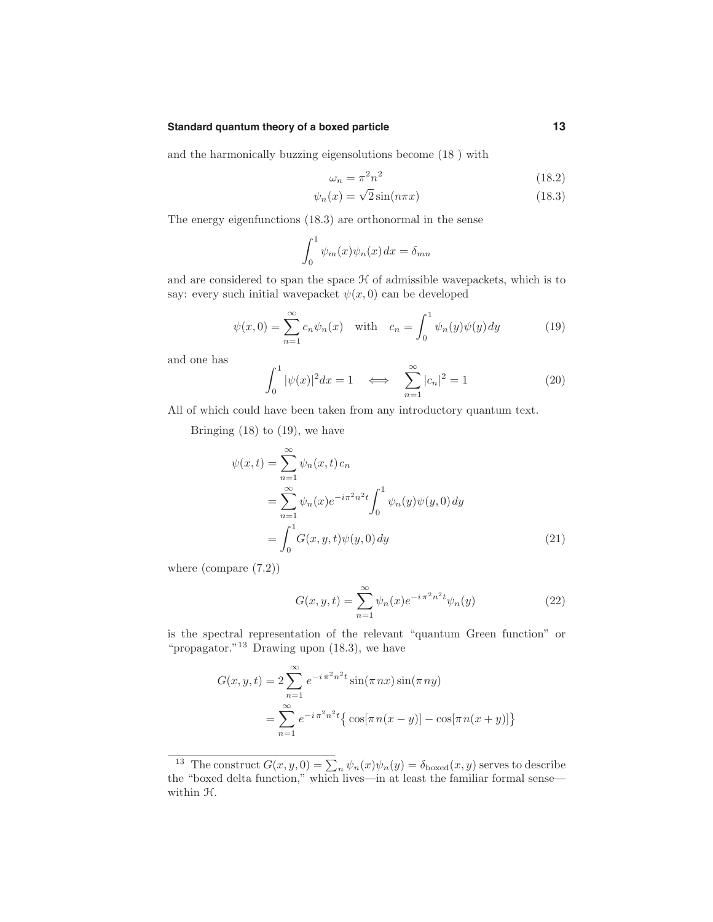# **Standard quantum theory of a boxed particle 13**

and the harmonically buzzing eigensolutions become (18 ) with

$$
\omega_n = \pi^2 n^2 \tag{18.2}
$$

$$
\psi_n(x) = \sqrt{2}\sin(n\pi x) \tag{18.3}
$$

The energy eigenfunctions (18.3) are orthonormal in the sense

$$
\int_0^1 \psi_m(x)\psi_n(x) dx = \delta_{mn}
$$

and are considered to span the space  $H$  of admissible wavepackets, which is to say: every such initial wavepacket  $\psi(x, 0)$  can be developed

$$
\psi(x,0) = \sum_{n=1}^{\infty} c_n \psi_n(x) \quad \text{with} \quad c_n = \int_0^1 \psi_n(y) \psi(y) \, dy \tag{19}
$$

and one has

$$
\int_0^1 |\psi(x)|^2 dx = 1 \quad \Longleftrightarrow \quad \sum_{n=1}^\infty |c_n|^2 = 1 \tag{20}
$$

All of which could have been taken from any introductory quantum text.

Bringing  $(18)$  to  $(19)$ , we have

$$
\psi(x,t) = \sum_{n=1}^{\infty} \psi_n(x,t) c_n \n= \sum_{n=1}^{\infty} \psi_n(x) e^{-i\pi^2 n^2 t} \int_0^1 \psi_n(y) \psi(y,0) dy \n= \int_0^1 G(x,y,t) \psi(y,0) dy
$$
\n(21)

where (compare (7.2))

$$
G(x, y, t) = \sum_{n=1}^{\infty} \psi_n(x) e^{-i\pi^2 n^2 t} \psi_n(y)
$$
 (22)

is the spectral representation of the relevant "quantum Green function" or "propagator."<sup>13</sup> Drawing upon  $(18.3)$ , we have

$$
G(x, y, t) = 2 \sum_{n=1}^{\infty} e^{-i \pi^2 n^2 t} \sin(\pi nx) \sin(\pi ny)
$$
  
= 
$$
\sum_{n=1}^{\infty} e^{-i \pi^2 n^2 t} {\cos[\pi n(x - y)] - \cos[\pi n(x + y)] }
$$

<sup>&</sup>lt;sup>13</sup> The construct  $G(x, y, 0) = \sum_{n} \psi_n(x) \psi_n(y) = \delta_{\text{boxed}}(x, y)$  serves to describe the "boxed delta function," which lives—in at least the familiar formal sense within  $H$ .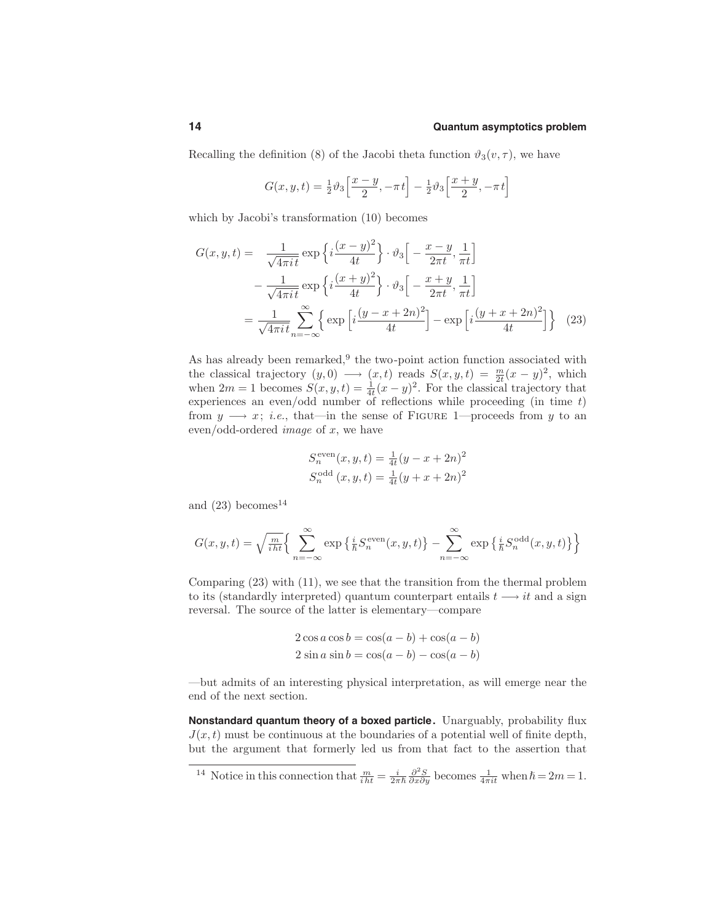Recalling the definition (8) of the Jacobi theta function  $\vartheta_3(v, \tau)$ , we have

$$
G(x, y, t) = \frac{1}{2}\vartheta_3 \left[\frac{x-y}{2}, -\pi t\right] - \frac{1}{2}\vartheta_3 \left[\frac{x+y}{2}, -\pi t\right]
$$

which by Jacobi's transformation (10) becomes

$$
G(x, y, t) = \frac{1}{\sqrt{4\pi i t}} \exp\left\{i\frac{(x-y)^2}{4t}\right\} \cdot \vartheta_3 \left[-\frac{x-y}{2\pi t}, \frac{1}{\pi t}\right]
$$

$$
-\frac{1}{\sqrt{4\pi i t}} \exp\left\{i\frac{(x+y)^2}{4t}\right\} \cdot \vartheta_3 \left[-\frac{x+y}{2\pi t}, \frac{1}{\pi t}\right]
$$

$$
=\frac{1}{\sqrt{4\pi i t}} \sum_{n=-\infty}^{\infty} \left\{ \exp\left[i\frac{(y-x+2n)^2}{4t}\right] - \exp\left[i\frac{(y+x+2n)^2}{4t}\right] \right\} \quad (23)
$$

As has already been remarked, $9$  the two-point action function associated with the classical trajectory  $(y, 0) \longrightarrow (x, t)$  reads  $S(x, y, t) = \frac{m}{2t}(x - y)^2$ , which when  $2m = 1$  becomes  $S(x, y, t) = \frac{1}{4t}(x - y)^2$ . For the classical trajectory that experiences an even/odd number of reflections while proceeding (in time t) from  $y \rightarrow x$ ; *i.e.*, that—in the sense of FIGURE 1—proceeds from y to an even/odd-ordered *image* of  $x$ , we have

$$
S_n^{\text{even}}(x, y, t) = \frac{1}{4t}(y - x + 2n)^2
$$
  

$$
S_n^{\text{odd}}(x, y, t) = \frac{1}{4t}(y + x + 2n)^2
$$

and  $(23)$  becomes<sup>14</sup>

$$
G(x, y, t) = \sqrt{\frac{m}{i\hbar t}} \Bigg\{ \sum_{n=-\infty}^{\infty} \exp\left\{\frac{i}{\hbar} S_n^{\text{even}}(x, y, t)\right\} - \sum_{n=-\infty}^{\infty} \exp\left\{\frac{i}{\hbar} S_n^{\text{odd}}(x, y, t)\right\} \Bigg\}
$$

Comparing (23) with (11), we see that the transition from the thermal problem to its (standardly interpreted) quantum counterpart entails  $t \rightarrow it$  and a sign reversal. The source of the latter is elementary—compare

$$
2\cos a \cos b = \cos(a - b) + \cos(a - b)
$$
  

$$
2\sin a \sin b = \cos(a - b) - \cos(a - b)
$$

—but admits of an interesting physical interpretation, as will emerge near the end of the next section.

**Nonstandard quantum theory of a boxed particle.** Unarguably, probability flux  $J(x,t)$  must be continuous at the boundaries of a potential well of finite depth, but the argument that formerly led us from that fact to the assertion that

<sup>14</sup> Notice in this connection that 
$$
\frac{m}{iht} = \frac{i}{2\pi\hbar} \frac{\partial^2 S}{\partial x \partial y}
$$
 becomes  $\frac{1}{4\pi i t}$  when  $\hbar = 2m = 1$ .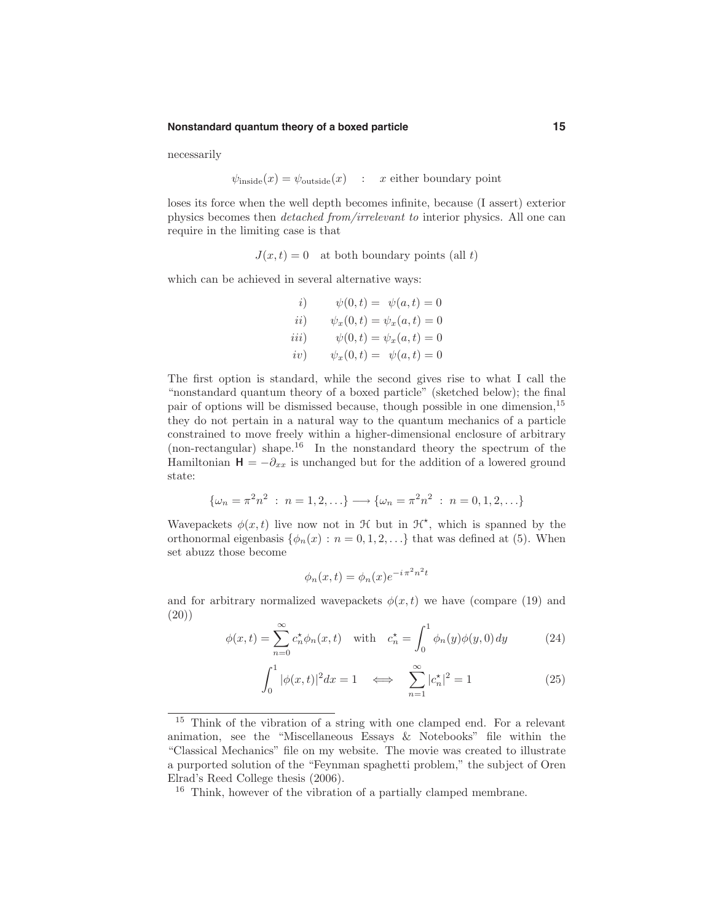#### **Nonstandard quantum theory of a boxed particle 15**

necessarily

$$
\psi_{\text{inside}}(x) = \psi_{\text{outside}}(x) : x \text{ either boundary point}
$$

loses its force when the well depth becomes infinite, because (I assert) exterior physics becomes then detached from/irrelevant to interior physics. All one can require in the limiting case is that

 $J(x,t) = 0$  at both boundary points (all t)

which can be achieved in several alternative ways:

*i*) 
$$
\psi(0, t) = \psi(a, t) = 0
$$
  
\n*ii*)  $\psi_x(0, t) = \psi_x(a, t) = 0$   
\n*iii*)  $\psi(0, t) = \psi_x(a, t) = 0$   
\n*iv*)  $\psi_x(0, t) = \psi(a, t) = 0$ 

The first option is standard, while the second gives rise to what I call the "nonstandard quantum theory of a boxed particle" (sketched below); the final pair of options will be dismissed because, though possible in one dimension,<sup>15</sup> they do not pertain in a natural way to the quantum mechanics of a particle constrained to move freely within a higher-dimensional enclosure of arbitrary (non-rectangular) shape.<sup>16</sup> In the nonstandard theory the spectrum of the Hamiltonian  $H = -\partial_{xx}$  is unchanged but for the addition of a lowered ground state:

$$
\{\omega_n = \pi^2 n^2 : n = 1, 2, \ldots\} \longrightarrow \{\omega_n = \pi^2 n^2 : n = 0, 1, 2, \ldots\}
$$

Wavepackets  $\phi(x,t)$  live now not in  $\mathcal H$  but in  $\mathcal H^*$ , which is spanned by the orthonormal eigenbasis  $\{\phi_n(x): n = 0, 1, 2, \ldots\}$  that was defined at (5). When set abuzz those become

$$
\phi_n(x,t) = \phi_n(x)e^{-i\pi^2 n^2 t}
$$

and for arbitrary normalized wavepackets  $\phi(x,t)$  we have (compare (19) and (20))

$$
\phi(x,t) = \sum_{n=0}^{\infty} c_n^* \phi_n(x,t) \quad \text{with} \quad c_n^* = \int_0^1 \phi_n(y)\phi(y,0) \, dy \tag{24}
$$

$$
\int_0^1 |\phi(x,t)|^2 dx = 1 \quad \Longleftrightarrow \quad \sum_{n=1}^\infty |c_n^{\star}|^2 = 1 \tag{25}
$$

<sup>15</sup> Think of the vibration of a string with one clamped end. For a relevant animation, see the "Miscellaneous Essays & Notebooks" file within the "Classical Mechanics" file on my website. The movie was created to illustrate a purported solution of the "Feynman spaghetti problem," the subject of Oren Elrad's Reed College thesis (2006).

<sup>16</sup> Think, however of the vibration of a partially clamped membrane.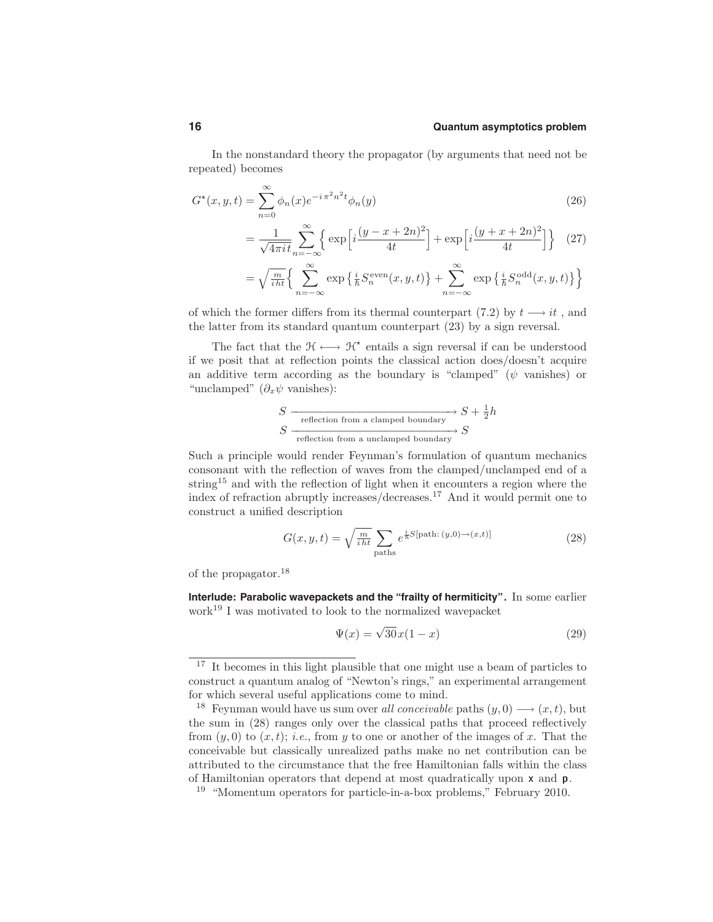In the nonstandard theory the propagator (by arguments that need not be repeated) becomes

$$
G^*(x, y, t) = \sum_{n=0}^{\infty} \phi_n(x) e^{-i\pi^2 n^2 t} \phi_n(y)
$$
\n(26)

$$
=\frac{1}{\sqrt{4\pi i t}}\sum_{n=-\infty}^{\infty} \left\{ \exp\left[i\frac{(y-x+2n)^2}{4t}\right] + \exp\left[i\frac{(y+x+2n)^2}{4t}\right] \right\} (27)
$$

$$
= \sqrt{\frac{m}{i\hbar t}} \Bigg\{ \sum_{n=-\infty}^{\infty} \exp \Big\{ \frac{i}{\hbar} S_n^{\text{even}}(x, y, t) \Big\} + \sum_{n=-\infty}^{\infty} \exp \Big\{ \frac{i}{\hbar} S_n^{\text{odd}}(x, y, t) \Big\} \Bigg\}
$$

of which the former differs from its thermal counterpart (7.2) by  $t \rightarrow it$ , and the latter from its standard quantum counterpart (23) by a sign reversal.

The fact that the  $\mathfrak{H} \longleftrightarrow \mathfrak{H}^*$  entails a sign reversal if can be understood if we posit that at reflection points the classical action does/doesn't acquire an additive term according as the boundary is "clamped" ( $\psi$  vanishes) or "unclamped"  $(\partial_x \psi \text{ vanishes})$ :

$$
S \xrightarrow{\text{reflection from a clamped boundary}} S + \frac{1}{2}h
$$
  

$$
S \xrightarrow{\text{reflection from a unclamped boundary}} S
$$

Such a principle would render Feynman's formulation of quantum mechanics consonant with the reflection of waves from the clamped/unclamped end of a string<sup>15</sup> and with the reflection of light when it encounters a region where the index of refraction abruptly increases/decreases.<sup>17</sup> And it would permit one to construct a unified description

$$
G(x, y, t) = \sqrt{\frac{m}{i\hbar t}} \sum_{\text{paths}} e^{\frac{i}{\hbar}S[\text{path: } (y, 0) \to (x, t)]}
$$
\n(28)

of the propagator.<sup>18</sup>

**Interlude: Parabolic wavepackets and the "frailty of hermiticity".** In some earlier work<sup>19</sup> I was motivated to look to the normalized wavepacket

$$
\Psi(x) = \sqrt{30}x(1-x) \tag{29}
$$

<sup>&</sup>lt;sup>17</sup> It becomes in this light plausible that one might use a beam of particles to construct a quantum analog of "Newton's rings," an experimental arrangement for which several useful applications come to mind.

<sup>&</sup>lt;sup>18</sup> Feynman would have us sum over all conceivable paths  $(y, 0) \longrightarrow (x, t)$ , but the sum in (28) ranges only over the classical paths that proceed reflectively from  $(y, 0)$  to  $(x, t)$ ; *i.e.*, from y to one or another of the images of x. That the conceivable but classically unrealized paths make no net contribution can be attributed to the circumstance that the free Hamiltonian falls within the class of Hamiltonian operators that depend at most quadratically upon x and p.

<sup>19</sup> "Momentum operators for particle-in-a-box problems," February 2010.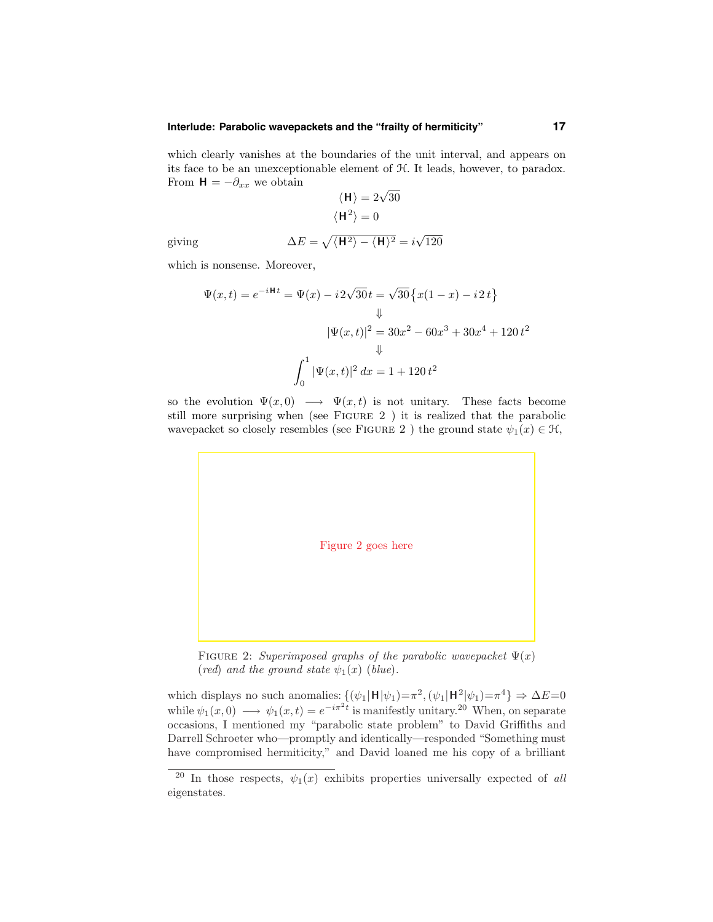#### **Interlude: Parabolic wavepackets and the "frailty of hermiticity" 17**

which clearly vanishes at the boundaries of the unit interval, and appears on its face to be an unexceptionable element of H. It leads, however, to paradox. From  $H = -\partial_{xx}$  we obtain

$$
\langle \mathbf{H} \rangle = 2\sqrt{30}
$$
  
 $\langle \mathbf{H}^2 \rangle = 0$ 

giving 
$$
\Delta E = \sqrt{\langle H^2 \rangle - \langle H \rangle^2} = i\sqrt{120}
$$

which is nonsense. Moreover,

$$
\Psi(x,t) = e^{-iHt} = \Psi(x) - i2\sqrt{30}t = \sqrt{30}\left\{x(1-x) - i2t\right\}
$$

$$
\Downarrow
$$

$$
|\Psi(x,t)|^2 = 30x^2 - 60x^3 + 30x^4 + 120t^2
$$

$$
\Downarrow
$$

$$
\int_0^1 |\Psi(x,t)|^2 dx = 1 + 120t^2
$$

so the evolution  $\Psi(x,0) \longrightarrow \Psi(x,t)$  is not unitary. These facts become still more surprising when (see Figure 2 ) it is realized that the parabolic wavepacket so closely resembles (see FIGURE 2) the ground state  $\psi_1(x) \in \mathcal{H}$ ,



FIGURE 2: Superimposed graphs of the parabolic wavepacket  $\Psi(x)$ (red) and the ground state  $\psi_1(x)$  (blue).

which displays no such anomalies:  $\{(\psi_1|\mathbf{H}|\psi_1)=\pi^2, (\psi_1|\mathbf{H}^2|\psi_1)=\pi^4\} \Rightarrow \Delta E=0$ while  $\psi_1(x,0) \longrightarrow \psi_1(x,t) = e^{-i\pi^2 t}$  is manifestly unitary.<sup>20</sup> When, on separate occasions, I mentioned my "parabolic state problem" to David Griffiths and Darrell Schroeter who—promptly and identically—responded "Something must have compromised hermiticity," and David loaned me his copy of a brilliant

<sup>&</sup>lt;sup>20</sup> In those respects,  $\psi_1(x)$  exhibits properties universally expected of all eigenstates.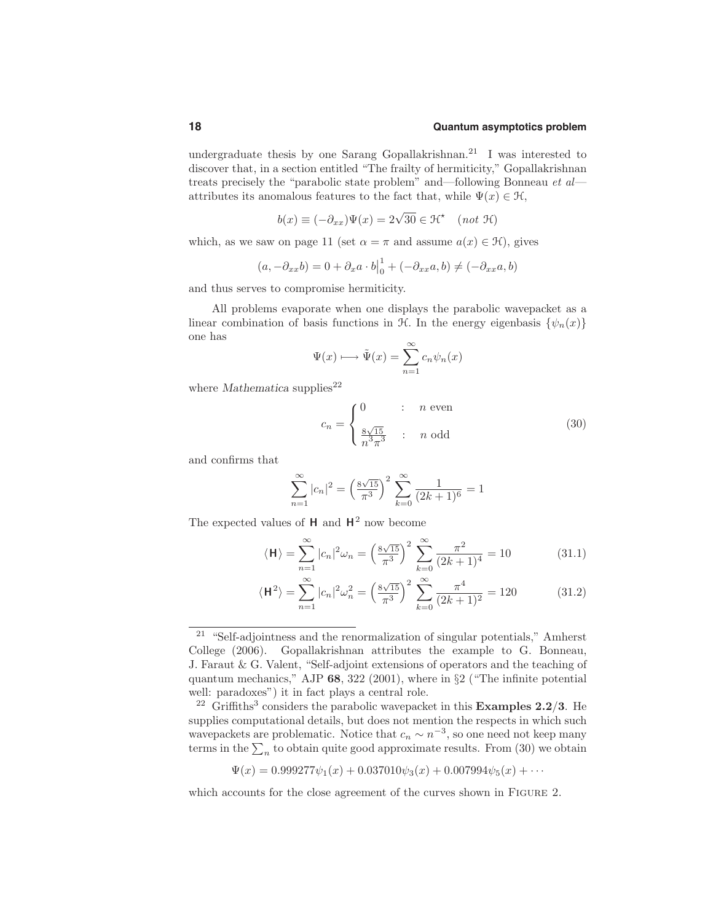undergraduate thesis by one Sarang Gopallakrishnan.<sup>21</sup> I was interested to discover that, in a section entitled "The frailty of hermiticity," Gopallakrishnan treats precisely the "parabolic state problem" and—following Bonneau et al attributes its anomalous features to the fact that, while  $\Psi(x) \in \mathcal{H}$ ,

$$
b(x) \equiv (-\partial_{xx})\Psi(x) = 2\sqrt{30} \in \mathcal{H}^{\star} \quad (not \ \mathcal{H})
$$

which, as we saw on page 11 (set  $\alpha = \pi$  and assume  $a(x) \in \mathcal{H}$ ), gives

$$
(a, -\partial_{xx}b) = 0 + \partial_x a \cdot b\Big|_0^1 + (-\partial_{xx}a, b) \neq (-\partial_{xx}a, b)
$$

and thus serves to compromise hermiticity.

All problems evaporate when one displays the parabolic wavepacket as a linear combination of basis functions in H. In the energy eigenbasis  $\{\psi_n(x)\}\$ one has

$$
\Psi(x) \longmapsto \tilde{\Psi}(x) = \sum_{n=1}^{\infty} c_n \psi_n(x)
$$

where Mathematica supplies<sup>22</sup>

$$
c_n = \begin{cases} 0 & \text{: } n \text{ even} \\ \frac{8\sqrt{15}}{n^3 \pi^3} & \text{: } n \text{ odd} \end{cases} \tag{30}
$$

and confirms that

$$
\sum_{n=1}^{\infty} |c_n|^2 = \left(\frac{8\sqrt{15}}{\pi^3}\right)^2 \sum_{k=0}^{\infty} \frac{1}{(2k+1)^6} = 1
$$

The expected values of  $H$  and  $H^2$  now become

$$
\langle \mathbf{H} \rangle = \sum_{n=1}^{\infty} |c_n|^2 \omega_n = \left(\frac{8\sqrt{15}}{\pi^3}\right)^2 \sum_{k=0}^{\infty} \frac{\pi^2}{(2k+1)^4} = 10
$$
 (31.1)

$$
\langle \mathbf{H}^2 \rangle = \sum_{n=1}^{\infty} |c_n|^2 \omega_n^2 = \left(\frac{8\sqrt{15}}{\pi^3}\right)^2 \sum_{k=0}^{\infty} \frac{\pi^4}{(2k+1)^2} = 120 \tag{31.2}
$$

$$
\Psi(x) = 0.999277\psi_1(x) + 0.037010\psi_3(x) + 0.007994\psi_5(x) + \cdots
$$

which accounts for the close agreement of the curves shown in FIGURE 2.

<sup>21</sup> "Self-adjointness and the renormalization of singular potentials," Amherst College (2006). Gopallakrishnan attributes the example to G. Bonneau, J. Faraut & G. Valent, "Self-adjoint extensions of operators and the teaching of quantum mechanics," AJP 68, 322 (2001), where in §2 ("The infinite potential well: paradoxes") it in fact plays a central role.

<sup>&</sup>lt;sup>22</sup> Griffiths<sup>3</sup> considers the parabolic wavepacket in this **Examples 2.2/3**. He supplies computational details, but does not mention the respects in which such wavepackets are problematic. Notice that  $c_n \sim n^{-3}$ , so one need not keep many terms in the  $\sum_n$  to obtain quite good approximate results. From (30) we obtain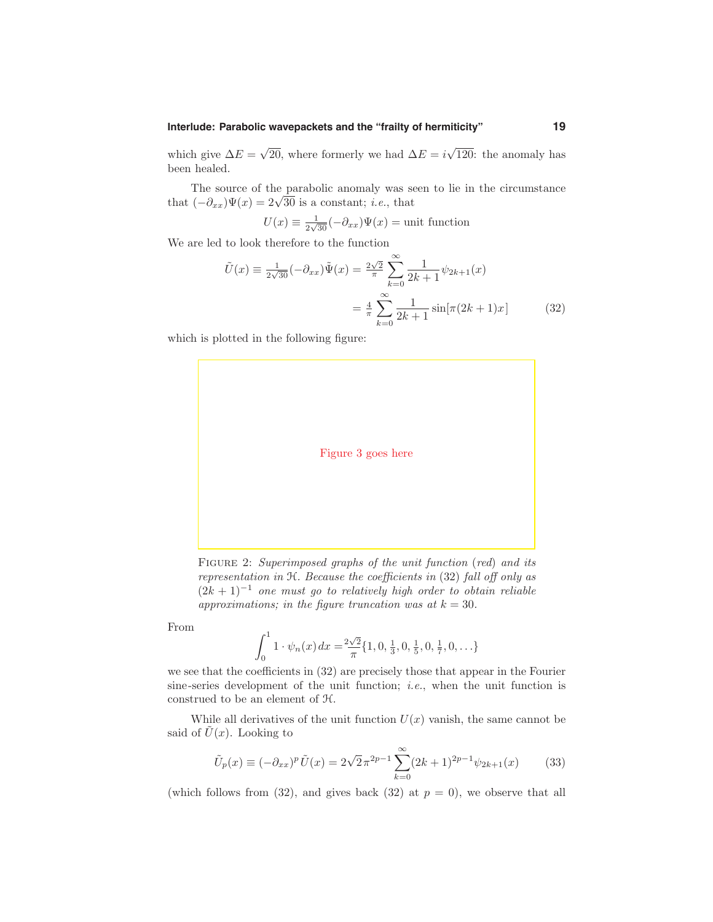#### **Interlude: Parabolic wavepackets and the "frailty of hermiticity" 19**

which give  $\Delta E = \sqrt{20}$ , where formerly we had  $\Delta E = i\sqrt{120}$ : the anomaly has been healed.

The source of the parabolic anomaly was seen to lie in the circumstance that  $(-\partial_{xx})\Psi(x) = 2\sqrt{30}$  is a constant; *i.e.*, that

$$
U(x) \equiv \frac{1}{2\sqrt{30}}(-\partial_{xx})\Psi(x) = \text{unit function}
$$

We are led to look therefore to the function

$$
\tilde{U}(x) \equiv \frac{1}{2\sqrt{30}}(-\partial_{xx})\tilde{\Psi}(x) = \frac{2\sqrt{2}}{\pi} \sum_{k=0}^{\infty} \frac{1}{2k+1} \psi_{2k+1}(x)
$$

$$
= \frac{4}{\pi} \sum_{k=0}^{\infty} \frac{1}{2k+1} \sin[\pi(2k+1)x] \tag{32}
$$

which is plotted in the following figure:



FIGURE 2: Superimposed graphs of the unit function (red) and its representation in H. Because the coefficients in (32) fall off only as  $(2k+1)^{-1}$  one must go to relatively high order to obtain reliable approximations; in the figure truncation was at  $k = 30$ .

From

$$
\int_0^1 1 \cdot \psi_n(x) dx = \frac{2\sqrt{2}}{\pi} \{1, 0, \frac{1}{3}, 0, \frac{1}{5}, 0, \frac{1}{7}, 0, \ldots\}
$$

we see that the coefficients in (32) are precisely those that appear in the Fourier sine-series development of the unit function; *i.e.*, when the unit function is construed to be an element of H.

While all derivatives of the unit function  $U(x)$  vanish, the same cannot be said of  $\tilde{U}(x)$ . Looking to

$$
\tilde{U}_p(x) \equiv (-\partial_{xx})^p \tilde{U}(x) = 2\sqrt{2}\pi^{2p-1} \sum_{k=0}^{\infty} (2k+1)^{2p-1} \psi_{2k+1}(x) \tag{33}
$$

(which follows from (32), and gives back (32) at  $p = 0$ ), we observe that all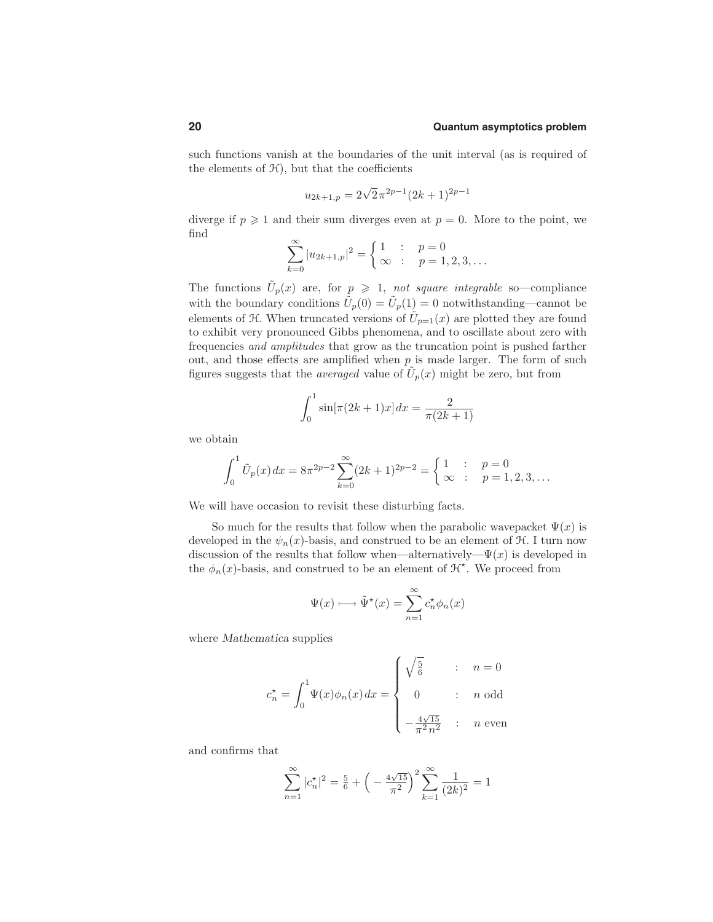such functions vanish at the boundaries of the unit interval (as is required of the elements of  $H$ ), but that the coefficients

$$
u_{2k+1,p} = 2\sqrt{2}\pi^{2p-1}(2k+1)^{2p-1}
$$

diverge if  $p \geq 1$  and their sum diverges even at  $p = 0$ . More to the point, we find

$$
\sum_{k=0}^{\infty} |u_{2k+1,p}|^2 = \begin{cases} 1 & \text{if } p = 0\\ \infty & \text{if } p = 1, 2, 3, \dots \end{cases}
$$

The functions  $\tilde{U}_p(x)$  are, for  $p \geq 1$ , not square integrable so—compliance with the boundary conditions  $\tilde{U}_p(0) = \tilde{U}_p(1) = 0$  notwithstanding—cannot be elements of  $\mathcal{H}$ . When truncated versions of  $\tilde{U}_{p=1}(x)$  are plotted they are found to exhibit very pronounced Gibbs phenomena, and to oscillate about zero with frequencies and amplitudes that grow as the truncation point is pushed farther out, and those effects are amplified when  $p$  is made larger. The form of such figures suggests that the *averaged* value of  $U_p(x)$  might be zero, but from

$$
\int_0^1 \sin[\pi(2k+1)x] dx = \frac{2}{\pi(2k+1)}
$$

we obtain

$$
\int_0^1 \tilde{U}_p(x) dx = 8\pi^{2p-2} \sum_{k=0}^\infty (2k+1)^{2p-2} = \begin{cases} 1 & ; p = 0 \\ \infty & ; p = 1, 2, 3, \dots \end{cases}
$$

We will have occasion to revisit these disturbing facts.

So much for the results that follow when the parabolic wavepacket  $\Psi(x)$  is developed in the  $\psi_n(x)$ -basis, and construed to be an element of  $\mathcal{H}$ . I turn now discussion of the results that follow when—alternatively— $\Psi(x)$  is developed in the  $\phi_n(x)$ -basis, and construed to be an element of  $\mathcal{H}^{\star}$ . We proceed from

$$
\Psi(x) \longmapsto \tilde{\Psi}^{\star}(x) = \sum_{n=1}^{\infty} c_n^{\star} \phi_n(x)
$$

where *Mathematica* supplies

$$
c_n^\star = \int_0^1 \! \Psi(x) \phi_n(x) \, dx = \begin{cases} \sqrt{\frac{5}{6}} & : & n = 0 \\ 0 & : & n \text{ odd} \\ -\frac{4\sqrt{15}}{\pi^2 n^2} & : & n \text{ even} \end{cases}
$$

and confirms that

$$
\sum_{n=1}^{\infty} |c_n^{\star}|^2 = \frac{5}{6} + \left( -\frac{4\sqrt{15}}{\pi^2} \right)^2 \sum_{k=1}^{\infty} \frac{1}{(2k)^2} = 1
$$